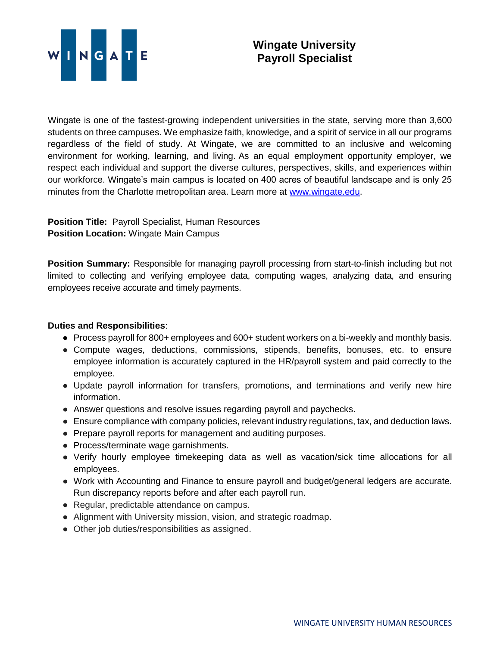

Wingate is one of the fastest-growing independent universities in the state, serving more than 3,600 students on three campuses. We emphasize faith, knowledge, and a spirit of service in all our programs regardless of the field of study. At Wingate, we are committed to an inclusive and welcoming environment for working, learning, and living. As an equal employment opportunity employer, we respect each individual and support the diverse cultures, perspectives, skills, and experiences within our workforce. Wingate's main campus is located on 400 acres of beautiful landscape and is only 25 minutes from the Charlotte metropolitan area. Learn more at [www.wingate.edu.](http://www.wingate/edu)

**Position Title:** Payroll Specialist, Human Resources **Position Location:** Wingate Main Campus

**Position Summary:** Responsible for managing payroll processing from start-to-finish including but not limited to collecting and verifying employee data, computing wages, analyzing data, and ensuring employees receive accurate and timely payments.

## **Duties and Responsibilities**:

- Process payroll for 800+ employees and 600+ student workers on a bi-weekly and monthly basis.
- Compute wages, deductions, commissions, stipends, benefits, bonuses, etc. to ensure employee information is accurately captured in the HR/payroll system and paid correctly to the employee.
- Update payroll information for transfers, promotions, and terminations and verify new hire information.
- Answer questions and resolve issues regarding payroll and paychecks.
- Ensure compliance with company policies, relevant industry regulations, tax, and deduction laws.
- Prepare payroll reports for management and auditing purposes.
- Process/terminate wage garnishments.
- Verify hourly employee timekeeping data as well as vacation/sick time allocations for all employees.
- Work with Accounting and Finance to ensure payroll and budget/general ledgers are accurate. Run discrepancy reports before and after each payroll run.
- Regular, predictable attendance on campus.
- Alignment with University mission, vision, and strategic roadmap.
- Other job duties/responsibilities as assigned.